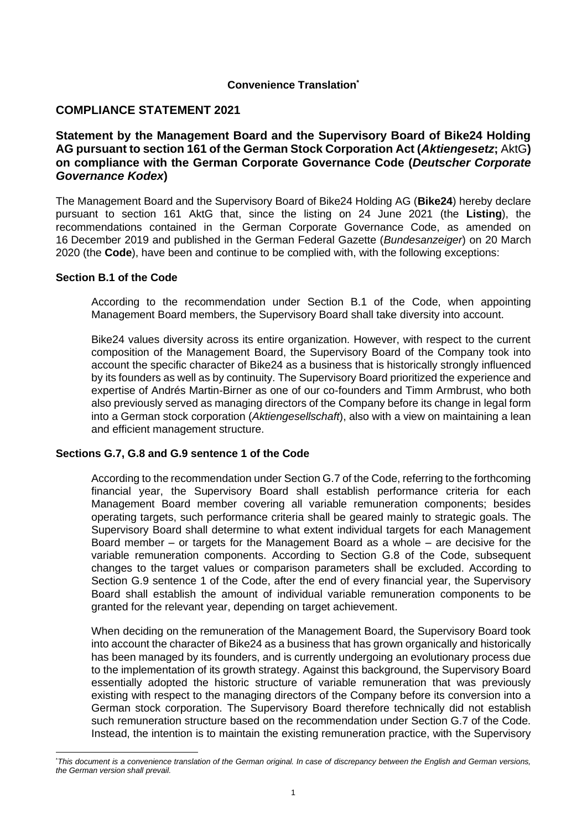## **Convenience Translation\***

# **COMPLIANCE STATEMENT 2021**

# **Statement by the Management Board and the Supervisory Board of Bike24 Holding AG pursuant to section 161 of the German Stock Corporation Act (***Aktiengesetz***;** AktG**) on compliance with the German Corporate Governance Code (***Deutscher Corporate Governance Kodex***)**

The Management Board and the Supervisory Board of Bike24 Holding AG (**Bike24**) hereby declare pursuant to section 161 AktG that, since the listing on 24 June 2021 (the **Listing**), the recommendations contained in the German Corporate Governance Code, as amended on 16 December 2019 and published in the German Federal Gazette (*Bundesanzeiger*) on 20 March 2020 (the **Code**), have been and continue to be complied with, with the following exceptions:

### **Section B.1 of the Code**

According to the recommendation under Section B.1 of the Code, when appointing Management Board members, the Supervisory Board shall take diversity into account.

Bike24 values diversity across its entire organization. However, with respect to the current composition of the Management Board, the Supervisory Board of the Company took into account the specific character of Bike24 as a business that is historically strongly influenced by its founders as well as by continuity. The Supervisory Board prioritized the experience and expertise of Andrés Martin-Birner as one of our co-founders and Timm Armbrust, who both also previously served as managing directors of the Company before its change in legal form into a German stock corporation (*Aktiengesellschaft*), also with a view on maintaining a lean and efficient management structure.

## **Sections G.7, G.8 and G.9 sentence 1 of the Code**

According to the recommendation under Section G.7 of the Code, referring to the forthcoming financial year, the Supervisory Board shall establish performance criteria for each Management Board member covering all variable remuneration components; besides operating targets, such performance criteria shall be geared mainly to strategic goals. The Supervisory Board shall determine to what extent individual targets for each Management Board member – or targets for the Management Board as a whole – are decisive for the variable remuneration components. According to Section G.8 of the Code, subsequent changes to the target values or comparison parameters shall be excluded. According to Section G.9 sentence 1 of the Code, after the end of every financial year, the Supervisory Board shall establish the amount of individual variable remuneration components to be granted for the relevant year, depending on target achievement.

When deciding on the remuneration of the Management Board, the Supervisory Board took into account the character of Bike24 as a business that has grown organically and historically has been managed by its founders, and is currently undergoing an evolutionary process due to the implementation of its growth strategy. Against this background, the Supervisory Board essentially adopted the historic structure of variable remuneration that was previously existing with respect to the managing directors of the Company before its conversion into a German stock corporation. The Supervisory Board therefore technically did not establish such remuneration structure based on the recommendation under Section G.7 of the Code. Instead, the intention is to maintain the existing remuneration practice, with the Supervisory

<sup>\*</sup>*This document is a convenience translation of the German original. In case of discrepancy between the English and German versions, the German version shall prevail.*